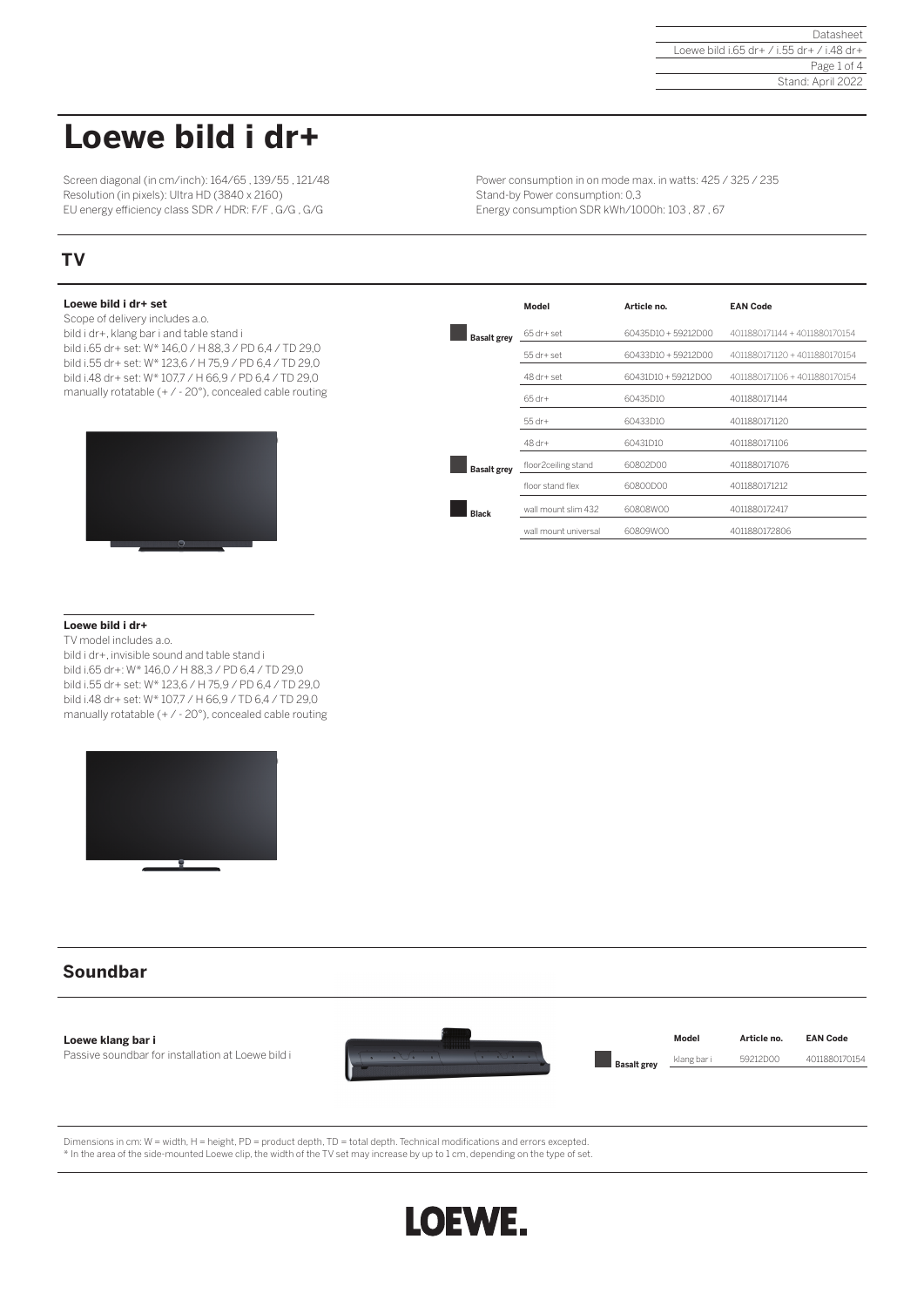# **Loewe bild i dr+**

Screen diagonal (in cm/inch): 164/65 , 139/55 , 121/48 Resolution (in pixels): Ultra HD (3840 x 2160) EU energy efficiency class SDR / HDR: F/F , G/G , G/G

## **TV**

## **Loewe bild i dr+ set**

Scope of delivery includes a.o. bild i dr+, klang bar i and table stand i bild i.65 dr+ set: W\* 146,0 / H 88,3 / PD 6,4 / TD 29,0 bild i.55 dr+ set: W\* 123,6 / H 75,9 / PD 6,4 / TD 29,0 bild i.48 dr+ set: W\* 107,7 / H 66,9 / PD 6,4 / TD 29,0 manually rotatable (+ / - 20°), concealed cable routing



| Power consumption in on mode max. in watts: 425 / 325 / 235 |
|-------------------------------------------------------------|
| Stand-by Power consumption: 0,3                             |
| Energy consumption SDR kWh/1000h: 103, 87, 67               |

|                    | Model                 | Article no.         | <b>EAN Code</b>               |
|--------------------|-----------------------|---------------------|-------------------------------|
| <b>Basalt grey</b> | $65$ dr+ set          | 60435D10 + 59212D00 | 4011880171144 + 4011880170154 |
|                    | $55$ dr+ $set$        | 60433D10 + 59212D00 | 4011880171120 + 4011880170154 |
|                    | $48$ dr+ set          | 60431D10 + 59212D00 | 4011880171106 + 4011880170154 |
|                    | $65 dr +$             | 60435D10            | 4011880171144                 |
|                    | $55$ dr+              | 60433D10            | 4011880171120                 |
|                    | 48 dr+                | 60431D10            | 4011880171106                 |
| <b>Basalt grey</b> | floor2ceiling stand   | 60802D00            | 4011880171076                 |
|                    | floor stand flex      | 60800D00            | 4011880171212                 |
| <b>Black</b>       | wall mount slim 432   | 60808W00            | 4011880172417                 |
|                    | wall mount universal. | 60809W00            | 4011880172806                 |

## **Loewe bild i dr+**

TV model includes a.o. bild i dr+, invisible sound and table stand i bild i.65 dr+: W\* 146,0 / H 88,3 / PD 6,4 / TD 29,0 bild i.55 dr+ set: W\* 123,6 / H 75,9 / PD 6,4 / TD 29,0 bild i.48 dr+ set: W\* 107,7 / H 66,9 / TD 6,4 / TD 29,0 manually rotatable (+ / - 20°), concealed cable routing



## **Soundbar**



Dimensions in cm: W = width, H = height, PD = product depth, TD = total depth. Technical modifications and errors excepted. \* In the area of the side-mounted Loewe clip, the width of the TV set may increase by up to 1 cm, depending on the type of set.

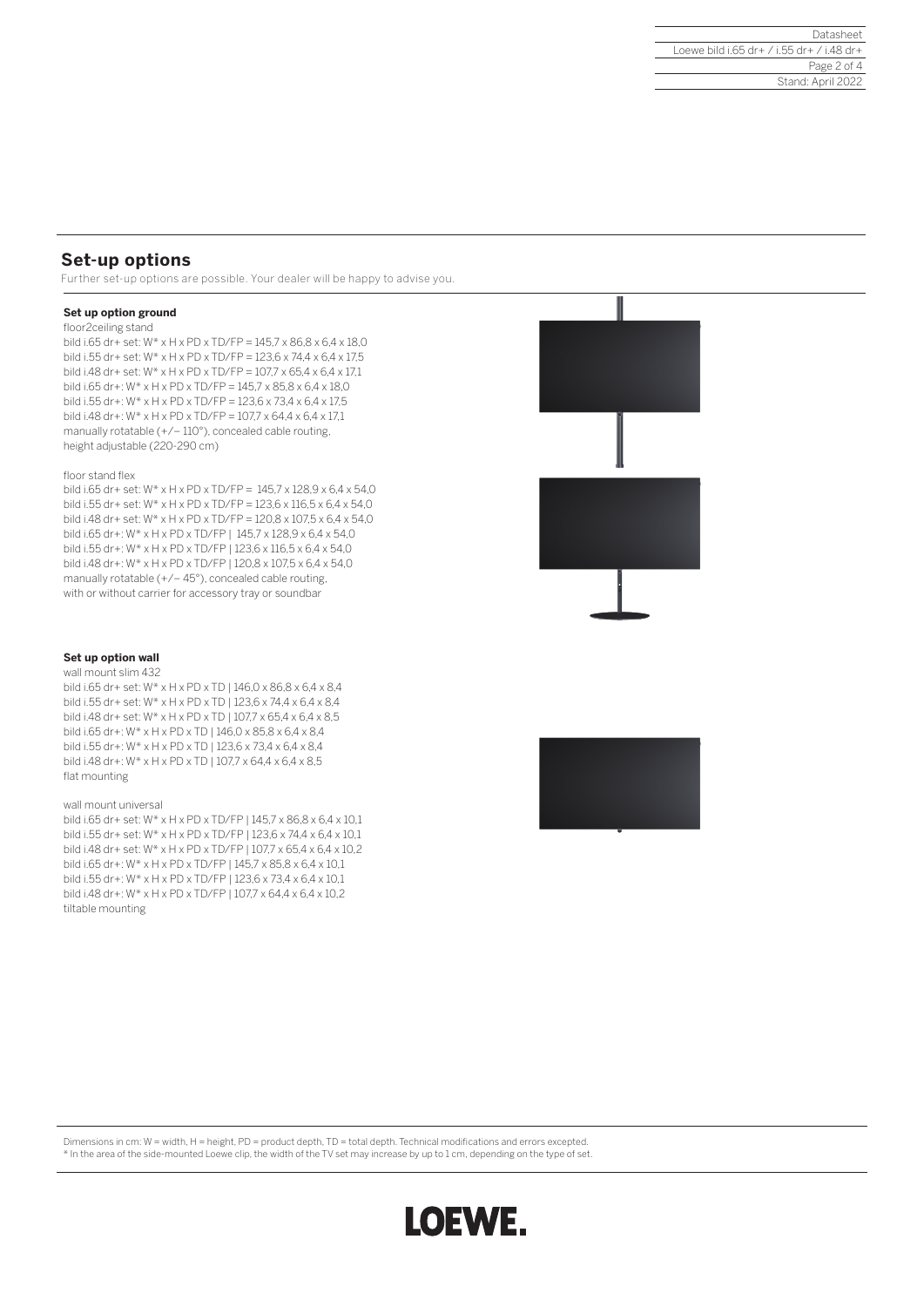# **Set-up options**

Further set-up options are possible. Your dealer will be happy to advise you.

### **Set up option ground**

#### floor2ceiling stand

bild i.65 dr+ set: W\* x H x PD x TD/FP = 145,7 x 86,8 x 6,4 x 18,0 bild i.55 dr+ set: W\* x H x PD x TD/FP = 123,6 x 74,4 x 6,4 x 17,5 bild i.48 dr+ set: W\* x H x PD x TD/FP = 107,7 x 65,4 x 6,4 x 17,1 bild i.65 dr+: W\* x H x PD x TD/FP = 145,7 x 85,8 x 6,4 x 18,0 bild i.55 dr+: W\* x H x PD x TD/FP = 123,6 x 73,4 x 6,4 x 17,5 bild i.48 dr+: W\* x H x PD x TD/FP = 107,7 x 64,4 x 6,4 x 17,1 manually rotatable (+/– 110°), concealed cable routing, height adjustable (220-290 cm)

#### floor stand flex

bild i.65 dr+ set: W\* x H x PD x TD/FP = 145,7 x 128,9 x 6,4 x 54,0 bild i.55 dr+ set: W\* x H x PD x TD/FP = 123,6 x 116,5 x 6,4 x 54,0 bild i.48 dr+ set: W\* x H x PD x TD/FP = 120,8 x 107,5 x 6,4 x 54,0 bild i.65 dr+: W\* x H x PD x TD/FP | 145,7 x 128,9 x 6,4 x 54,0 bild i.55 dr+: W\* x H x PD x TD/FP | 123,6 x 116,5 x 6,4 x 54,0 bild i.48 dr+: W\* x H x PD x TD/FP | 120,8 x 107,5 x 6,4 x 54,0 manually rotatable (+/– 45°), concealed cable routing, with or without carrier for accessory tray or soundbar



#### **Set up option wall** wall mount slim 432

bild i.65 dr+ set: W\* x H x PD x TD | 146,0 x 86,8 x 6,4 x 8,4 bild i.55 dr+ set: W\* x H x PD x TD | 123,6 x 74,4 x 6,4 x 8,4 bild i.48 dr+ set: W\* x H x PD x TD | 107,7 x 65,4 x 6,4 x 8,5 bild i.65 dr+: W\* x H x PD x TD | 146,0 x 85,8 x 6,4 x 8,4 bild i.55 dr+: W\* x H x PD x TD | 123,6 x 73,4 x 6,4 x 8,4 bild i.48 dr+: W\* x H x PD x TD | 107,7 x 64,4 x 6,4 x 8,5 flat mounting

#### wall mount universal

bild i.65 dr+ set: W\* x H x PD x TD/FP | 145,7 x 86,8 x 6,4 x 10,1 bild i.55 dr+ set: W\* x H x PD x TD/FP | 123,6 x 74,4 x 6,4 x 10,1 bild i.48 dr+ set: W\* x H x PD x TD/FP | 107,7 x 65,4 x 6,4 x 10,2 bild i.65 dr+: W\* x H x PD x TD/FP | 145,7 x 85,8 x 6,4 x 10,1 bild i.55 dr+: W\* x H x PD x TD/FP | 123,6 x 73,4 x 6,4 x 10,1 bild i.48 dr+: W\* x H x PD x TD/FP | 107,7 x 64,4 x 6,4 x 10,2 tiltable mounting



Dimensions in cm: W = width, H = height, PD = product depth, TD = total depth. Technical modifications and errors excepted.

\* In the area of the side-mounted Loewe clip, the width of the TV set may increase by up to 1 cm, depending on the type of set.

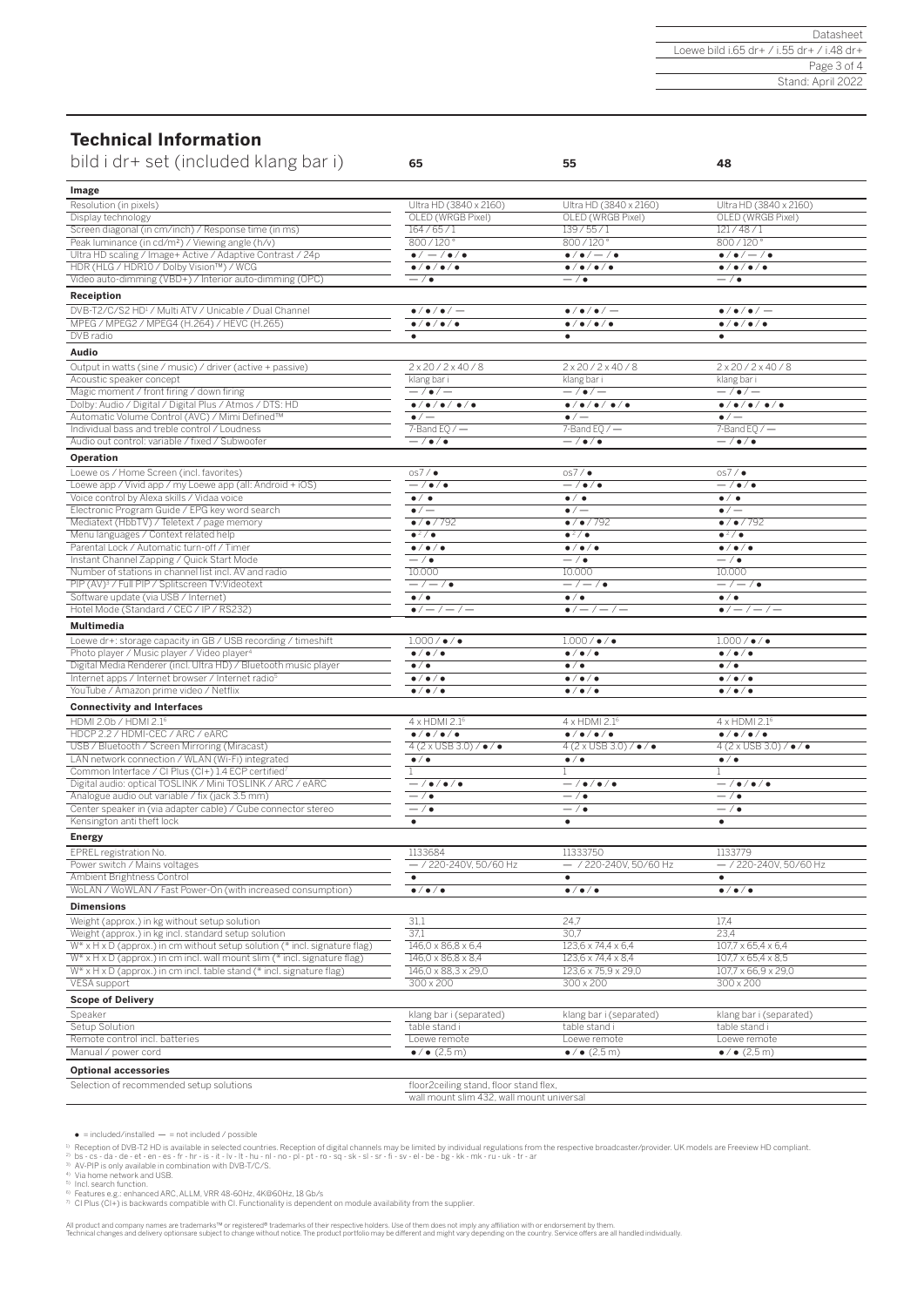## **Technical Information**

| bild i dr+ set (included klang bar i)                                                              | 65                                                  | 55                                            | 48                                                  |
|----------------------------------------------------------------------------------------------------|-----------------------------------------------------|-----------------------------------------------|-----------------------------------------------------|
| Image                                                                                              |                                                     |                                               |                                                     |
| Resolution (in pixels)                                                                             | Ultra HD (3840 x 2160)                              | Ultra HD (3840 x 2160)                        | Ultra HD (3840 x 2160)                              |
| Display technology                                                                                 | OLED (WRGB Pixel)                                   | OLED (WRGB Pixel)                             | OLED (WRGB Pixel)                                   |
| Screen diagonal (in cm/inch) / Response time (in ms)                                               | 164/65/1                                            | 139/55/1                                      | 121/48/1                                            |
| Peak luminance (in cd/m <sup>2</sup> ) / Viewing angle (h/v)                                       | 800/120°                                            | 800/120°                                      | 800/120°                                            |
| Ultra HD scaling / Image+ Active / Adaptive Contrast / 24p                                         | $\bullet/-/\bullet/\bullet$                         | $\bullet/\bullet/-/\bullet$                   | $\bullet/\bullet/-/\bullet$                         |
| HDR (HLG / HDR10 / Dolby Vision™) / WCG                                                            | $\bullet$ / $\bullet$ / $\bullet$ / $\bullet$       | $\bullet$ / $\bullet$ / $\bullet$ / $\bullet$ | $\bullet/\bullet/\bullet/\bullet$                   |
| Video auto-dimming (VBD+) / Interior auto-dimming (OPC)                                            | $-$ / $\bullet$                                     | $-$ / $\bullet$                               | $-$ / $\bullet$                                     |
| Receiption                                                                                         |                                                     |                                               |                                                     |
| DVB-T2/C/S2 HD <sup>1</sup> / Multi ATV / Unicable / Dual Channel                                  | $\bullet$ / $\bullet$ / $\bullet$ / $-$             | $\bullet$ / $\bullet$ / $\bullet$ / $-$       | $\bullet$ / $\bullet$ / $\bullet$ / $-$             |
| MPEG / MPEG2 / MPEG4 (H.264) / HEVC (H.265)                                                        | $\bullet$ / $\bullet$ / $\bullet$ / $\bullet$       | $\bullet$ / $\bullet$ / $\bullet$ / $\bullet$ | $\bullet/\bullet/\bullet/\bullet$                   |
| DVB radio                                                                                          |                                                     |                                               |                                                     |
|                                                                                                    | $\bullet$                                           | $\bullet$                                     | $\bullet$                                           |
| Audio                                                                                              |                                                     |                                               |                                                     |
| Output in watts (sine / music) / driver (active + passive)                                         | $2 \times 20 / 2 \times 40 / 8$                     | $2 \times 20 / 2 \times 40 / 8$               | $2 \times 20 / 2 \times 40 / 8$                     |
| Acoustic speaker concept                                                                           | klang bar i                                         | klang bar i                                   | klang bar i                                         |
| Magic moment / front firing / down firing                                                          | $-$ / $\bullet$ / $-$                               | $-/-$                                         | $-/-$                                               |
| Dolby: Audio / Digital / Digital Plus / Atmos / DTS: HD                                            | $\bullet/\bullet/\bullet/\bullet/\bullet$           | $\bullet/\bullet/\bullet/\bullet/\bullet$     | $\bullet/\bullet/\bullet/\bullet/\bullet$           |
| Automatic Volume Control (AVC) / Mimi Defined™                                                     | $\bullet/-$                                         | $\bullet/-$                                   | $\bullet/$ $-$                                      |
| Individual bass and treble control / Loudness                                                      |                                                     |                                               |                                                     |
|                                                                                                    | 7-Band EQ $/$ $-$                                   | 7-Band EQ $/$ $-$                             | 7-Band EQ $/$ $-$                                   |
| Audio out control: variable / fixed / Subwoofer                                                    | $-$ / $\bullet$ / $\bullet$                         | $-$ / $\bullet$ / $\bullet$                   | $-$ / $\bullet$ / $\bullet$                         |
| Operation                                                                                          |                                                     |                                               |                                                     |
| Loewe os / Home Screen (incl. favorites)                                                           | os7/                                                | os7/                                          | os7/                                                |
| Loewe app / Vivid app / my Loewe app (all: Android + iOS)                                          | $-$ / $\bullet$ / $\bullet$                         | $-$ / $\bullet$ / $\bullet$                   | $-/-$                                               |
| Voice control by Alexa skills / Vidaa voice                                                        | $\overline{\bullet}$ / $\overline{\bullet}$         | $\bullet/\bullet$                             | $\bullet/\bullet$                                   |
| Electronic Program Guide / EPG key word search                                                     | $\bullet/-$                                         | $\bullet/-$                                   | $\bullet/-$                                         |
| Mediatext (HbbTV) / Teletext / page memory                                                         | $\bullet$ / $\bullet$ / 792                         | $\bullet$ / $\bullet$ / 792                   | $\bullet$ / $\bullet$ / 792                         |
| Menu languages / Context related help                                                              | $\bullet^2/\bullet$                                 | $\bullet^2/\bullet$                           | $\frac{2}{\pi}$                                     |
| Parental Lock / Automatic turn-off / Timer                                                         | $\bullet/\bullet/\bullet$                           | $\bullet/\bullet/\bullet$                     | $\bullet/\bullet/\bullet$                           |
| Instant Channel Zapping / Quick Start Mode                                                         | $-$ / $\bullet$                                     | $-$ / $\bullet$                               | $-$ / $\bullet$                                     |
| Number of stations in channel list incl. AV and radio                                              | 10.000                                              | 10.000                                        | 10.000                                              |
| PIP (AV) <sup>3</sup> / Full PIP / Splitscreen TV: Videotext                                       |                                                     |                                               |                                                     |
|                                                                                                    | $-/-/$ $\bullet$                                    | $-/-/$ $\bullet$                              | $-/-/$                                              |
| Software update (via USB / Internet)                                                               | $\bullet/\bullet$                                   | $\bullet$ / $\bullet$                         | $\bullet$ / $\bullet$                               |
| Hotel Mode (Standard / CEC / IP / RS232)                                                           | $\bullet/-/-/-$                                     | $\bullet/-/-/-$                               | $\bullet/-/-/-$                                     |
| Multimedia                                                                                         |                                                     |                                               |                                                     |
| Loewe dr+: storage capacity in GB / USB recording / timeshift                                      | $1.000$ / $\bullet$ / $\bullet$                     | $1.000$ / $\bullet$ / $\bullet$               | $1.000$ / $\bullet$ / $\bullet$                     |
| Photo player / Music player / Video player <sup>4</sup>                                            | $\bullet/\bullet/\bullet$                           | $\bullet/\bullet/\bullet$                     | $\bullet/\bullet/\bullet$                           |
| Digital Media Renderer (incl. Ultra HD) / Bluetooth music player                                   | $\bullet/\bullet$                                   | $\bullet/\bullet$                             | $\bullet/\bullet$                                   |
| Internet apps / Internet browser / Internet radio <sup>5</sup>                                     | $\bullet/\bullet/\bullet$                           | $\bullet/\bullet/\bullet$                     | $\bullet/\bullet/\bullet$                           |
| YouTube / Amazon prime video / Netflix                                                             | $\bullet/\bullet/\bullet$                           | $\bullet/\bullet/\bullet$                     | $\bullet/\bullet/\bullet$                           |
|                                                                                                    |                                                     |                                               |                                                     |
| <b>Connectivity and Interfaces</b>                                                                 |                                                     |                                               |                                                     |
| HDMI 2.0b / HDMI 2.1 <sup>6</sup>                                                                  | 4 x HDMI 2.1 <sup>6</sup>                           | 4 x HDMI 2.1 <sup>6</sup>                     | $4 \times$ HDMI 2.1 <sup>6</sup>                    |
| HDCP 2.2 / HDMI-CEC / ARC / eARC                                                                   | $\bullet/\bullet/\bullet/\bullet$                   | $\bullet$ / $\bullet$ / $\bullet$ / $\bullet$ | $\bullet$ / $\bullet$ / $\bullet$                   |
| USB / Bluetooth / Screen Mirroring (Miracast)                                                      | $4(2 \times \text{USB } 3.0) / \cdot \cdot / \cdot$ | $4(2 \times \text{USB } 3.0) / \cdot / \cdot$ | $4(2 \times \text{USB } 3.0) / \cdot \cdot / \cdot$ |
| LAN network connection / WLAN (Wi-Fi) integrated                                                   | $\bullet$ / $\bullet$                               | $\bullet$ / $\bullet$                         | $\bullet/\bullet$                                   |
| Common Interface / CI Plus (CI+) 1.4 ECP certified?                                                |                                                     | 1                                             | $\mathbf{1}$                                        |
| Digital audio: optical TOSLINK / Mini TOSLINK / ARC / eARC                                         | $-$ / $\bullet$ / $\bullet$                         | $-$ / $\bullet$ / $\bullet$                   | $-/ /$ $\bullet$ $/$ $\bullet$                      |
| Analogue audio out variable / fix (jack 3.5 mm)                                                    | $-$ / $\bullet$                                     | $-$ / $\bullet$                               | $-$ / $\bullet$                                     |
| Center speaker in (via adapter cable) / Cube connector stereo                                      | $-$ / $\bullet$                                     | $-$ / $\bullet$                               | $-$ / $\bullet$                                     |
| Kensington anti theft lock                                                                         | $\bullet$                                           | $\bullet$                                     | $\bullet$                                           |
|                                                                                                    |                                                     |                                               |                                                     |
| <b>Energy</b>                                                                                      |                                                     |                                               |                                                     |
| EPREL registration No.                                                                             | 1133684                                             | 11333750                                      | 1133779                                             |
| Power switch / Mains voltages                                                                      | $-$ / 220-240V, 50/60 Hz                            | - / 220-240V, 50/60 Hz                        | $-$ / 220-240V, 50/60 Hz                            |
| Ambient Brightness Control                                                                         | $\bullet$                                           | $\bullet$                                     | $\bullet$                                           |
| WoLAN / WoWLAN / Fast Power-On (with increased consumption)                                        | $\bullet/\bullet/\bullet$                           | $\bullet/\bullet/\bullet$                     | $\bullet/\bullet/\bullet$                           |
| <b>Dimensions</b>                                                                                  |                                                     |                                               |                                                     |
| Weight (approx.) in kg without setup solution                                                      | 31,1                                                | 24,7                                          | 17,4                                                |
| Weight (approx.) in kg incl. standard setup solution                                               | 37,1                                                | 30,7                                          | 23,4                                                |
| W* x H x D (approx.) in cm without setup solution (* incl. signature flag)                         | 146,0 x 86,8 x 6,4                                  | 123,6 x 74,4 x 6,4                            | $107.7 \times 65.4 \times 6.4$                      |
| $W^* \times H \times D$ (approx.) in cm incl. wall mount slim (* incl. signature flag)             | 146,0 x 86,8 x 8,4                                  | 123,6 x 74,4 x 8,4                            | 107,7 x 65,4 x 8,5                                  |
|                                                                                                    |                                                     |                                               |                                                     |
| $W^* \times H \times D$ (approx.) in cm incl. table stand (* incl. signature flag)<br>VESA support | 146,0 x 88,3 x 29,0                                 | 123,6 x 75,9 x 29,0                           | $107.7 \times 66.9 \times 29.0$                     |
|                                                                                                    | 300 x 200                                           | 300 x 200                                     | $300 \times 200$                                    |
| <b>Scope of Delivery</b>                                                                           |                                                     |                                               |                                                     |
| Speaker                                                                                            | klang bar i (separated)                             | klang bar i (separated)                       | klang bar i (separated)                             |
| Setup Solution                                                                                     | table stand i                                       | table stand i                                 | table stand i                                       |
| Remote control incl. batteries                                                                     | Loewe remote                                        | Loewe remote                                  | Loewe remote                                        |
| Manual / power cord                                                                                | $\bullet / \bullet (2.5 \, \text{m})$               | $\bullet / \bullet (2.5 \, \text{m})$         | $\bullet / \bullet (2, 5 \, \text{m})$              |
|                                                                                                    |                                                     |                                               |                                                     |
| <b>Optional accessories</b>                                                                        |                                                     |                                               |                                                     |
| Selection of recommended setup solutions                                                           | floor2ceiling stand, floor stand flex,              |                                               |                                                     |
|                                                                                                    | wall mount slim 432, wall mount universal           |                                               |                                                     |

• = included/installed — = not included / possible<br><sup>3)</sup> Reception of DVB-T2 HD is available in selected countries. Reception of digital channels may be limited by individual regulations from the respective broadcaster/pr

All product and company names are trademarks™ or registered® trademarks of their respective holders. Use of them does not imply any affiliation with or endorsement by them. The country, Service offers are all handled indiv